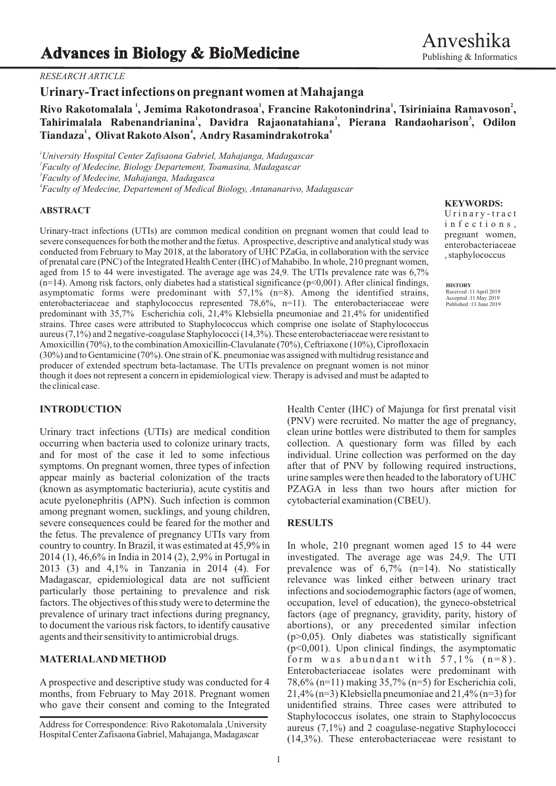# *RESEARCH ARTICLE*

**Urinary-Tract infections on pregnant women at Mahajanga**

**<sup>1</sup> <sup>1</sup> <sup>1</sup> Rivo Rakotomalala , Jemima Rakotondrasoa , Francine Rakotonindrina , <sup>2</sup> Tsiriniaina Ramavoson , <sup>1</sup> <sup>3</sup> <sup>3</sup> Tahirimalala Rabenandrianina , Davidra Rajaonatahiana , Pierana Randaoharison , Odilon 1 4 <sup>4</sup> Tiandaza , Olivat Rakoto Alson , Andry Rasamindrakotroka**

*University Hospital Center Zafisaona Gabriel, Mahajanga, Madagascar Faculty of Medecine, Biology Departement, Toamasina, Madagascar Faculty of Medecine, Mahajanga, Madagasca Faculty of Medecine, Departement of Medical Biology, Antananarivo, Madagascar*

### **ABSTRACT**

Urinary-tract infections (UTIs) are common medical condition on pregnant women that could lead to severe consequences for both the mother and the fœtus. Aprospective, descriptive and analytical study was conducted from February to May 2018, at the laboratory of UHC PZaGa, in collaboration with the service of prenatal care (PNC) of the Integrated Health Center (IHC) of Mahabibo. In whole, 210 pregnant women, aged from 15 to 44 were investigated. The average age was 24,9. The UTIs prevalence rate was 6,7%  $(n=14)$ . Among risk factors, only diabetes had a statistical significance ( $p<0.001$ ). After clinical findings, asymptomatic forms were predominant with  $57.1\%$  (n=8). Among the identified strains, enterobacteriaceae and staphylococcus represented  $78,6\%$ , n=11). The enterobacteriaceae were predominant with 35,7% Escherichia coli, 21,4% Klebsiella pneumoniae and 21,4% for unidentified strains. Three cases were attributed to Staphylococcus which comprise one isolate of Staphylococcus aureus (7,1%) and 2 negative-coagulase Staphylococci (14,3%). These enterobacteriaceae were resistant to Amoxicillin (70%), to the combination Amoxicillin-Clavulanate (70%), Ceftriaxone (10%), Ciprofloxacin (30%) and to Gentamicine (70%). One strain of K. pneumoniae was assigned with multidrug resistance and producer of extended spectrum beta-lactamase. The UTIs prevalence on pregnant women is not minor though it does not represent a concern in epidemiological view. Therapy is advised and must be adapted to the clinical case.

Urinary tract infections (UTIs) are medical condition clean urine bottles were distributed to them for samples occurring when bacteria used to colonize urinary tracts, collection. A questionary form was filled by each and for most of the case it led to some infectious individual. Urine collection was performed on the day symptoms. On pregnant women, three types of infection after that of PNV by following required instructions, appear mainly as bacterial colonization of the tracts urine samples were then headed to the laboratory of UHC (known as asymptomatic bacteriuria), acute cystitis and PZAGA in less than two hours after miction for acute pyelonephritis (APN). Such infection is common cytobacterial examination (CBEU). among pregnant women, sucklings, and young children, severe consequences could be feared for the mother and **RESULTS** the fetus. The prevalence of pregnancy UTIs vary from country to country. In Brazil, it was estimated at  $45,9\%$  in In whole, 210 pregnant women aged 15 to 44 were  $2014 (1)$ ,  $46,6\%$  in India in 2014 (2), 2,9% in Portugal in investigated. The average age was 24,9. The UTI  $2014 (1)$ ,  $46,6\%$  in India in  $2014 (2)$ ,  $2,9\%$  in Portugal in 2013 (3) and 4,1% in Tanzania in 2014 (4). For prevalence was of 6,7% (n=14). No statistically Madagascar, epidemiological data are not sufficient particularly those pertaining to prevalence and risk infections and sociodemographic factors (age of women, factors. The objectives of this study were to determine the occupation, level of education), the gyneco-obstetrical prevalence of urinary tract infections during pregnancy, factors (age of pregnancy, gravidity, parity, history of to document the various risk factors, to identify causative abortions), or any precedented similar infection agents and their sensitivity to antimicrobial drugs.  $(p>0,05)$ . Only diabetes was statistically significant

months, from February to May 2018. Pregnant women  $21,4\%$  (n=3) Klebsiella pneumoniae and 21,4% (n=3) for who gave their consent and coming to the Integrated unidentified strains. Three cases were attributed to

## **KEYWORDS:**

U r i n a r y - t r a c t i n f e c t i o n s , pregnant women, enterobacteriaceae , staphylococcus

**HISTORY** Received :11 April 2019 Accepted :11 May 2019 Published :13 June 2019

**INTRODUCTION** Health Center (IHC) of Majunga for first prenatal visit (PNV) were recruited. No matter the age of pregnancy,

 $(p<0,001)$ . Upon clinical findings, the asymptomatic **MATERIALAND METHOD** form was abundant with  $57,1\%$  ( $n=8$ ). Enterobacteriaceae isolates were predominant with A prospective and descriptive study was conducted for 4  $78,6\%$  (n=11) making 35,7% (n=5) for Escherichia coli, Staphylococcus isolates, one strain to Staphylococcus aureus (7,1%) and 2 coagulase-negative Staphylococci (14,3%). These enterobacteriaceae were resistant to

Address for Correspondence: Rivo Rakotomalala ,University Hospital Center Zafisaona Gabriel, Mahajanga, Madagascar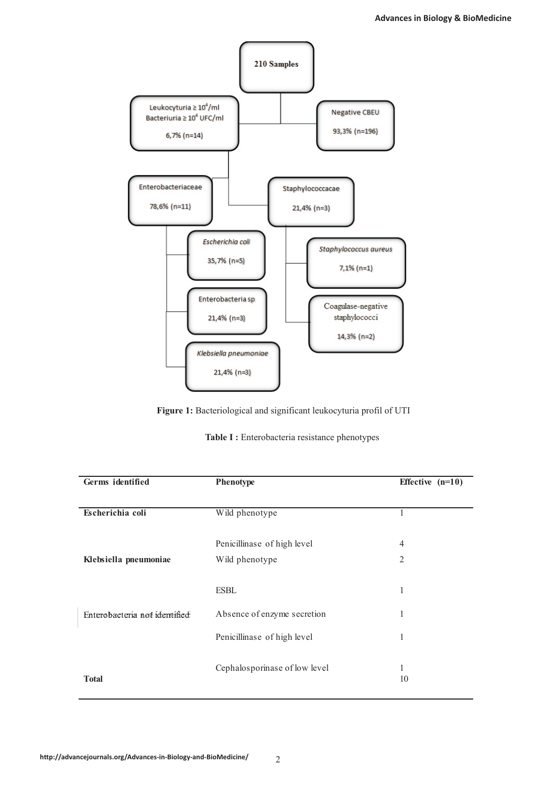

**Figure 1:** Bacteriological and significant leukocyturia profil of UTI

|  |  | Table I : Enterobacteria resistance phenotypes |  |  |
|--|--|------------------------------------------------|--|--|
|--|--|------------------------------------------------|--|--|

| Phenotype                     | Effective $(n=10)$ |
|-------------------------------|--------------------|
|                               |                    |
| Wild phenotype                |                    |
|                               |                    |
| Penicillinase of high level   | $\overline{4}$     |
| Wild phenotype                | $\overline{2}$     |
|                               |                    |
| <b>ESBL</b>                   | 1                  |
| Absence of enzyme secretion   | 1                  |
| Penicillinase of high level   | 1                  |
| Cephalosporinase of low level | I.                 |
|                               | 10                 |
|                               |                    |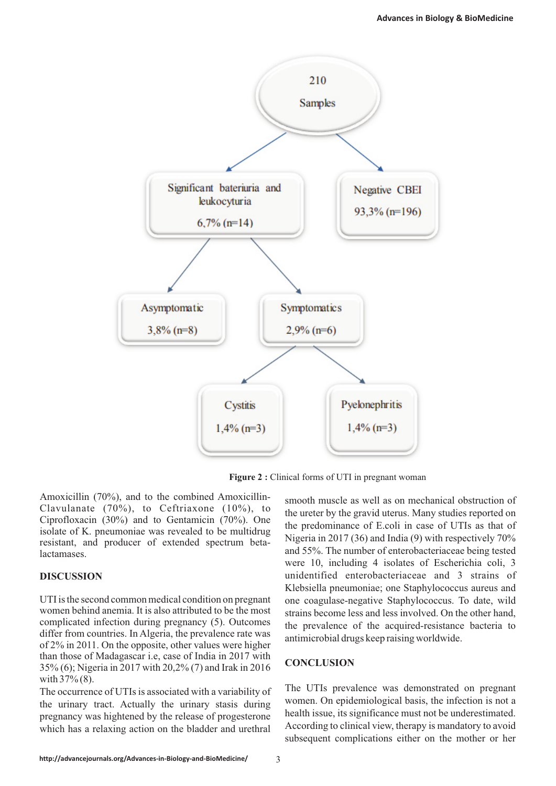

**Figure 2 :** Clinical forms of UTI in pregnant woman

Amoxicillin (70%), and to the combined Amoxicillin-<br>smooth muscle as well as on mechanical obstruction of Clavulanate (70%), to Ceftriaxone (10%), to

different from countries. In Algeria, the prevalence rate was antimicrobial drugs keep raising worldwide. of 2% in 2011. On the opposite, other values were higher than those of Madagascar i.e, case of India in 2017 with **CONCLUSION** 35% (6); Nigeria in 2017 with 20,2% (7) and Irak in 2016 **CONCLUSION** with  $37\%$  (8).

pregnancy was hightened by the release of progesterone health issue, its significance must not be underestimated.<br>prediction in the bladder and urethral According to clinical view, therapy is mandatory to avoid which has a relaxing action on the bladder and urethral

Clavulariate (70%), to Certifiaxione (10%), to<br>Ciprofloxacin (30%) and to Gentamicin (70%). One<br>isolate of K. pneumoniae was revealed to be multidrug<br>resistant, and producer of extended spectrum beta-<br>Nigeria in 2017 (36) and 55%. The number of enterobacteriaceae being tested lactamases. were 10, including 4 isolates of Escherichia coli, 3 **DISCUSSION** unidentified enterobacteriaceae and 3 strains of Klebsiella pneumoniae; one Staphylococcus aureus and UTI is the second common medical condition on pregnant one coagulase-negative Staphylococcus. To date, wild<br>women behind anemia. It is also attributed to be the most origins become loss and loss involved. On the other hand strains become less and less involved. On the other hand, complicated infection during pregnancy (5). Outcomes the prevalence of the acquired-resistance bacteria to differ from countries. In Algeria, the prevalence rate was

The occurrence of UTIs is associated with a variability of The UTIs prevalence was demonstrated on pregnant women. On epidemiological basis, the infection is not a the urinary tract. Actually the urinary stasis during women. On epidemiological basis, the infection is not a the urinary tract. Actually the release of processes subsequent complications either on the mother or her